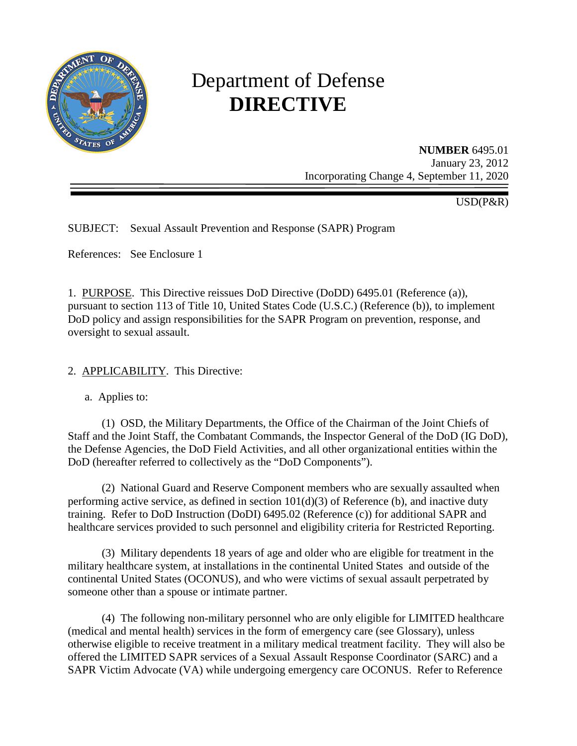

# Department of Defense **DIRECTIVE**

**NUMBER** 6495.01 January 23, 2012 Incorporating Change 4, September 11, 2020

USD(P&R)

SUBJECT: Sexual Assault Prevention and Response (SAPR) Program

References: See Enclosure 1

1. PURPOSE. This Directive reissues DoD Directive (DoDD) 6495.01 (Reference (a)), pursuant to section 113 of Title 10, United States Code (U.S.C.) (Reference (b)), to implement DoD policy and assign responsibilities for the SAPR Program on prevention, response, and oversight to sexual assault.

2. APPLICABILITY. This Directive:

a. Applies to:

 (1) OSD, the Military Departments, the Office of the Chairman of the Joint Chiefs of Staff and the Joint Staff, the Combatant Commands, the Inspector General of the DoD (IG DoD), the Defense Agencies, the DoD Field Activities, and all other organizational entities within the DoD (hereafter referred to collectively as the "DoD Components").

 (2) National Guard and Reserve Component members who are sexually assaulted when performing active service, as defined in section  $101(d)(3)$  of Reference (b), and inactive duty training. Refer to DoD Instruction (DoDI) 6495.02 (Reference (c)) for additional SAPR and healthcare services provided to such personnel and eligibility criteria for Restricted Reporting.

 (3) Military dependents 18 years of age and older who are eligible for treatment in the military healthcare system, at installations in the continental United States and outside of the continental United States (OCONUS), and who were victims of sexual assault perpetrated by someone other than a spouse or intimate partner.

 (4) The following non-military personnel who are only eligible for LIMITED healthcare (medical and mental health) services in the form of emergency care (see Glossary), unless otherwise eligible to receive treatment in a military medical treatment facility. They will also be offered the LIMITED SAPR services of a Sexual Assault Response Coordinator (SARC) and a SAPR Victim Advocate (VA) while undergoing emergency care OCONUS. Refer to Reference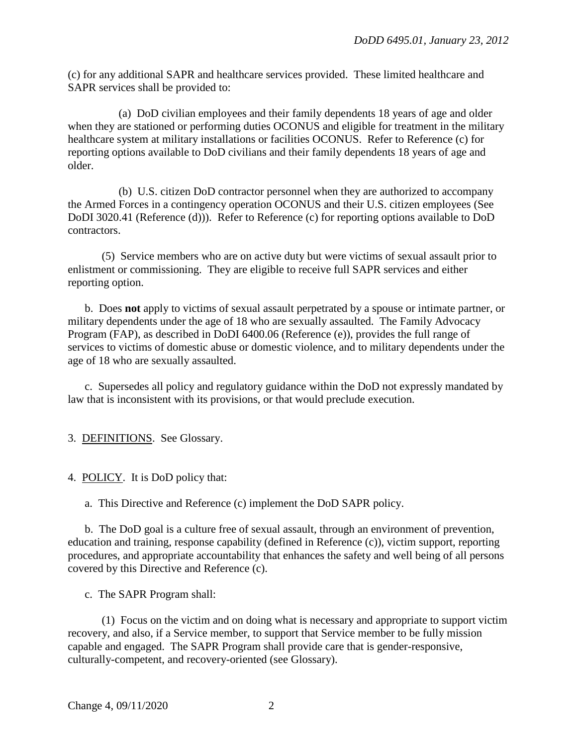(c) for any additional SAPR and healthcare services provided. These limited healthcare and SAPR services shall be provided to:

(a) DoD civilian employees and their family dependents 18 years of age and older when they are stationed or performing duties OCONUS and eligible for treatment in the military healthcare system at military installations or facilities OCONUS. Refer to Reference (c) for reporting options available to DoD civilians and their family dependents 18 years of age and older.

(b) U.S. citizen DoD contractor personnel when they are authorized to accompany the Armed Forces in a contingency operation OCONUS and their U.S. citizen employees (See DoDI 3020.41 (Reference (d))). Refer to Reference (c) for reporting options available to DoD contractors.

(5) Service members who are on active duty but were victims of sexual assault prior to enlistment or commissioning. They are eligible to receive full SAPR services and either reporting option.

b. Does **not** apply to victims of sexual assault perpetrated by a spouse or intimate partner, or military dependents under the age of 18 who are sexually assaulted. The Family Advocacy Program (FAP), as described in DoDI 6400.06 (Reference (e)), provides the full range of services to victims of domestic abuse or domestic violence, and to military dependents under the age of 18 who are sexually assaulted.

c. Supersedes all policy and regulatory guidance within the DoD not expressly mandated by law that is inconsistent with its provisions, or that would preclude execution.

3. DEFINITIONS. See Glossary.

4. POLICY. It is DoD policy that:

a. This Directive and Reference (c) implement the DoD SAPR policy.

b. The DoD goal is a culture free of sexual assault, through an environment of prevention, education and training, response capability (defined in Reference (c)), victim support, reporting procedures, and appropriate accountability that enhances the safety and well being of all persons covered by this Directive and Reference (c).

c. The SAPR Program shall:

(1) Focus on the victim and on doing what is necessary and appropriate to support victim recovery, and also, if a Service member, to support that Service member to be fully mission capable and engaged. The SAPR Program shall provide care that is gender-responsive, culturally-competent, and recovery-oriented (see Glossary).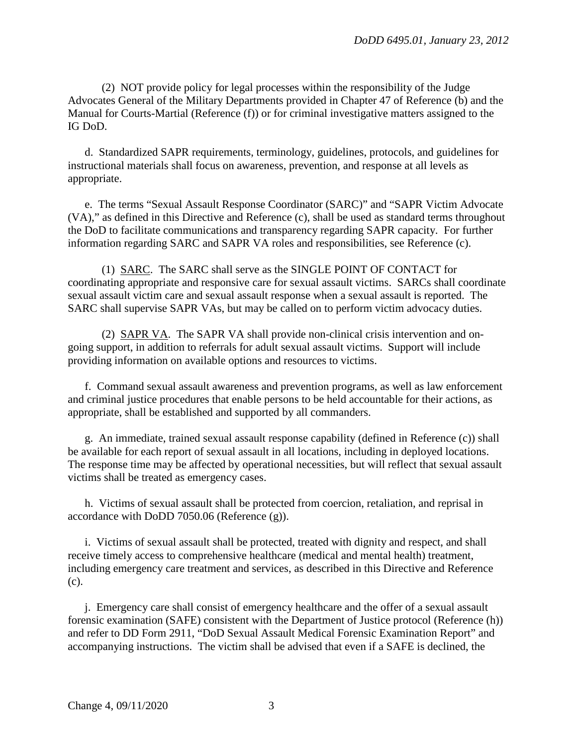(2) NOT provide policy for legal processes within the responsibility of the Judge Advocates General of the Military Departments provided in Chapter 47 of Reference (b) and the Manual for Courts-Martial (Reference (f)) or for criminal investigative matters assigned to the IG DoD.

d. Standardized SAPR requirements, terminology, guidelines, protocols, and guidelines for instructional materials shall focus on awareness, prevention, and response at all levels as appropriate.

e. The terms "Sexual Assault Response Coordinator (SARC)" and "SAPR Victim Advocate (VA)," as defined in this Directive and Reference (c), shall be used as standard terms throughout the DoD to facilitate communications and transparency regarding SAPR capacity. For further information regarding SARC and SAPR VA roles and responsibilities, see Reference (c).

(1) SARC. The SARC shall serve as the SINGLE POINT OF CONTACT for coordinating appropriate and responsive care for sexual assault victims. SARCs shall coordinate sexual assault victim care and sexual assault response when a sexual assault is reported. The SARC shall supervise SAPR VAs, but may be called on to perform victim advocacy duties.

(2) SAPR VA. The SAPR VA shall provide non-clinical crisis intervention and ongoing support, in addition to referrals for adult sexual assault victims. Support will include providing information on available options and resources to victims.

f. Command sexual assault awareness and prevention programs, as well as law enforcement and criminal justice procedures that enable persons to be held accountable for their actions, as appropriate, shall be established and supported by all commanders.

g. An immediate, trained sexual assault response capability (defined in Reference (c)) shall be available for each report of sexual assault in all locations, including in deployed locations. The response time may be affected by operational necessities, but will reflect that sexual assault victims shall be treated as emergency cases.

h. Victims of sexual assault shall be protected from coercion, retaliation, and reprisal in accordance with DoDD 7050.06 (Reference (g)).

i. Victims of sexual assault shall be protected, treated with dignity and respect, and shall receive timely access to comprehensive healthcare (medical and mental health) treatment, including emergency care treatment and services, as described in this Directive and Reference (c).

j. Emergency care shall consist of emergency healthcare and the offer of a sexual assault forensic examination (SAFE) consistent with the Department of Justice protocol (Reference (h)) and refer to DD Form 2911, "DoD Sexual Assault Medical Forensic Examination Report" and accompanying instructions. The victim shall be advised that even if a SAFE is declined, the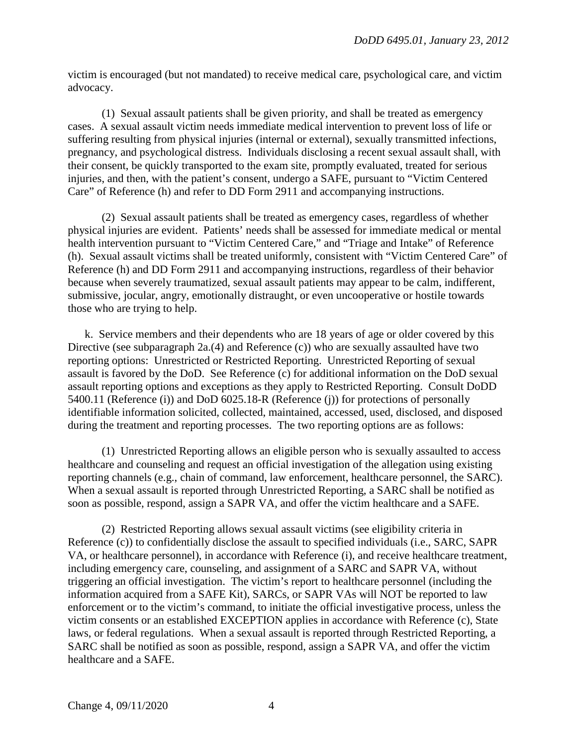victim is encouraged (but not mandated) to receive medical care, psychological care, and victim advocacy.

(1) Sexual assault patients shall be given priority, and shall be treated as emergency cases. A sexual assault victim needs immediate medical intervention to prevent loss of life or suffering resulting from physical injuries (internal or external), sexually transmitted infections, pregnancy, and psychological distress. Individuals disclosing a recent sexual assault shall, with their consent, be quickly transported to the exam site, promptly evaluated, treated for serious injuries, and then, with the patient's consent, undergo a SAFE, pursuant to "Victim Centered Care" of Reference (h) and refer to DD Form 2911 and accompanying instructions.

(2) Sexual assault patients shall be treated as emergency cases, regardless of whether physical injuries are evident. Patients' needs shall be assessed for immediate medical or mental health intervention pursuant to "Victim Centered Care," and "Triage and Intake" of Reference (h). Sexual assault victims shall be treated uniformly, consistent with "Victim Centered Care" of Reference (h) and DD Form 2911 and accompanying instructions, regardless of their behavior because when severely traumatized, sexual assault patients may appear to be calm, indifferent, submissive, jocular, angry, emotionally distraught, or even uncooperative or hostile towards those who are trying to help.

k. Service members and their dependents who are 18 years of age or older covered by this Directive (see subparagraph 2a.(4) and Reference (c)) who are sexually assaulted have two reporting options: Unrestricted or Restricted Reporting. Unrestricted Reporting of sexual assault is favored by the DoD. See Reference (c) for additional information on the DoD sexual assault reporting options and exceptions as they apply to Restricted Reporting. Consult DoDD 5400.11 (Reference (i)) and DoD 6025.18-R (Reference (j)) for protections of personally identifiable information solicited, collected, maintained, accessed, used, disclosed, and disposed during the treatment and reporting processes. The two reporting options are as follows:

(1) Unrestricted Reporting allows an eligible person who is sexually assaulted to access healthcare and counseling and request an official investigation of the allegation using existing reporting channels (e.g., chain of command, law enforcement, healthcare personnel, the SARC). When a sexual assault is reported through Unrestricted Reporting, a SARC shall be notified as soon as possible, respond, assign a SAPR VA, and offer the victim healthcare and a SAFE.

(2) Restricted Reporting allows sexual assault victims (see eligibility criteria in Reference (c)) to confidentially disclose the assault to specified individuals (i.e., SARC, SAPR VA, or healthcare personnel), in accordance with Reference (i), and receive healthcare treatment, including emergency care, counseling, and assignment of a SARC and SAPR VA, without triggering an official investigation. The victim's report to healthcare personnel (including the information acquired from a SAFE Kit), SARCs, or SAPR VAs will NOT be reported to law enforcement or to the victim's command, to initiate the official investigative process, unless the victim consents or an established EXCEPTION applies in accordance with Reference (c), State laws, or federal regulations. When a sexual assault is reported through Restricted Reporting, a SARC shall be notified as soon as possible, respond, assign a SAPR VA, and offer the victim healthcare and a SAFE.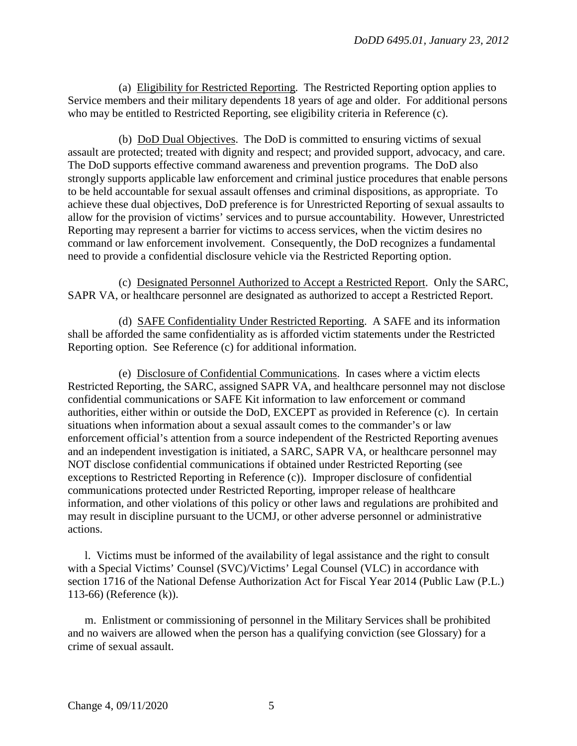(a) Eligibility for Restricted Reporting. The Restricted Reporting option applies to Service members and their military dependents 18 years of age and older. For additional persons who may be entitled to Restricted Reporting, see eligibility criteria in Reference (c).

(b) DoD Dual Objectives. The DoD is committed to ensuring victims of sexual assault are protected; treated with dignity and respect; and provided support, advocacy, and care. The DoD supports effective command awareness and prevention programs. The DoD also strongly supports applicable law enforcement and criminal justice procedures that enable persons to be held accountable for sexual assault offenses and criminal dispositions, as appropriate. To achieve these dual objectives, DoD preference is for Unrestricted Reporting of sexual assaults to allow for the provision of victims' services and to pursue accountability. However, Unrestricted Reporting may represent a barrier for victims to access services, when the victim desires no command or law enforcement involvement. Consequently, the DoD recognizes a fundamental need to provide a confidential disclosure vehicle via the Restricted Reporting option.

(c) Designated Personnel Authorized to Accept a Restricted Report. Only the SARC, SAPR VA, or healthcare personnel are designated as authorized to accept a Restricted Report.

(d) SAFE Confidentiality Under Restricted Reporting. A SAFE and its information shall be afforded the same confidentiality as is afforded victim statements under the Restricted Reporting option. See Reference (c) for additional information.

(e) Disclosure of Confidential Communications. In cases where a victim elects Restricted Reporting, the SARC, assigned SAPR VA, and healthcare personnel may not disclose confidential communications or SAFE Kit information to law enforcement or command authorities, either within or outside the DoD, EXCEPT as provided in Reference (c). In certain situations when information about a sexual assault comes to the commander's or law enforcement official's attention from a source independent of the Restricted Reporting avenues and an independent investigation is initiated, a SARC, SAPR VA, or healthcare personnel may NOT disclose confidential communications if obtained under Restricted Reporting (see exceptions to Restricted Reporting in Reference (c)). Improper disclosure of confidential communications protected under Restricted Reporting, improper release of healthcare information, and other violations of this policy or other laws and regulations are prohibited and may result in discipline pursuant to the UCMJ, or other adverse personnel or administrative actions.

l. Victims must be informed of the availability of legal assistance and the right to consult with a Special Victims' Counsel (SVC)/Victims' Legal Counsel (VLC) in accordance with section 1716 of the National Defense Authorization Act for Fiscal Year 2014 (Public Law (P.L.) 113-66) (Reference (k)).

m. Enlistment or commissioning of personnel in the Military Services shall be prohibited and no waivers are allowed when the person has a qualifying conviction (see Glossary) for a crime of sexual assault.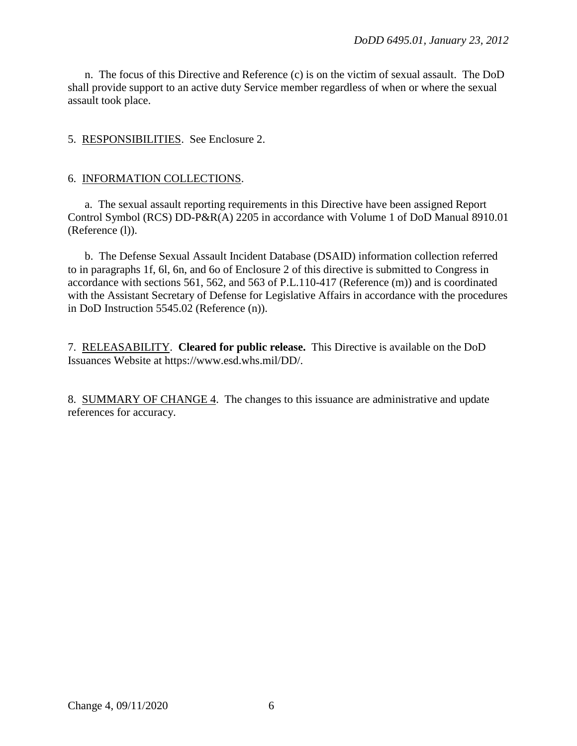n. The focus of this Directive and Reference (c) is on the victim of sexual assault. The DoD shall provide support to an active duty Service member regardless of when or where the sexual assault took place.

#### 5. RESPONSIBILITIES. See Enclosure 2.

#### 6. INFORMATION COLLECTIONS.

a. The sexual assault reporting requirements in this Directive have been assigned Report Control Symbol (RCS) DD-P&R(A) 2205 in accordance with Volume 1 of DoD Manual 8910.01 (Reference (l)).

b. The Defense Sexual Assault Incident Database (DSAID) information collection referred to in paragraphs 1f, 6l, 6n, and 6o of Enclosure 2 of this directive is submitted to Congress in accordance with sections 561, 562, and 563 of P.L.110-417 (Reference (m)) and is coordinated with the Assistant Secretary of Defense for Legislative Affairs in accordance with the procedures in DoD Instruction 5545.02 (Reference (n)).

7. RELEASABILITY. **Cleared for public release.** This Directive is available on the DoD Issuances Website at https://www.esd.whs.mil/DD/.

8. SUMMARY OF CHANGE 4. The changes to this issuance are administrative and update references for accuracy.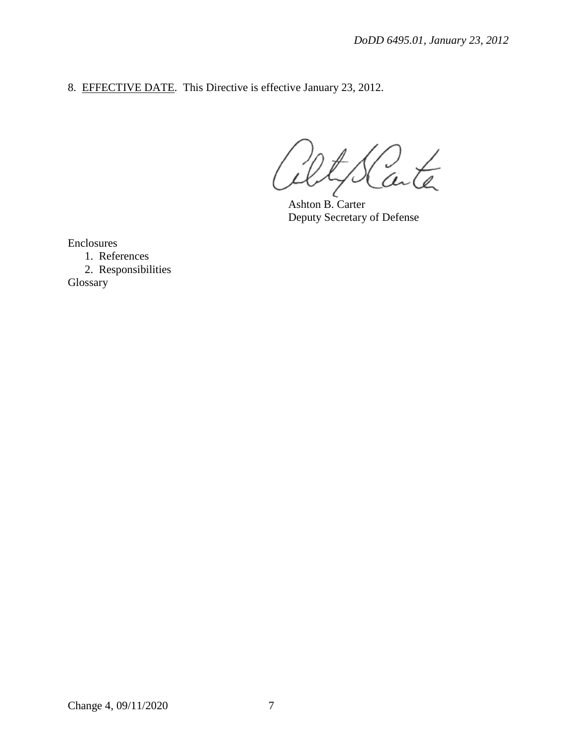8. EFFECTIVE DATE. This Directive is effective January 23, 2012.

Ł

Ashton B. Carter Deputy Secretary of Defense

Enclosures

1. References 2. Responsibilities Glossary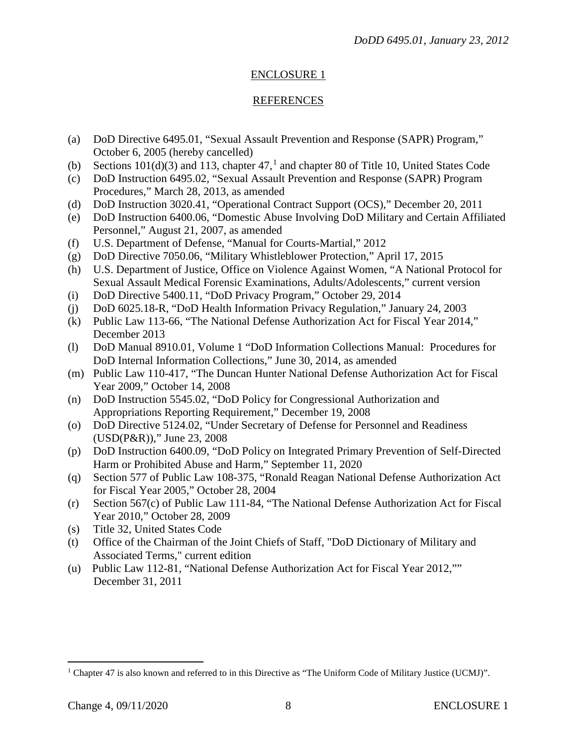## ENCLOSURE 1

### REFERENCES

- (a) DoD Directive 6495.01, "Sexual Assault Prevention and Response (SAPR) Program," October 6, 2005 (hereby cancelled)
- (b) Sections  $101(d)(3)$  $101(d)(3)$  and 113, chapter  $47<sup>1</sup>$  and chapter 80 of Title 10, United States Code
- (c) DoD Instruction 6495.02, "Sexual Assault Prevention and Response (SAPR) Program Procedures," March 28, 2013, as amended
- (d) DoD Instruction 3020.41, "Operational Contract Support (OCS)," December 20, 2011
- (e) DoD Instruction 6400.06, "Domestic Abuse Involving DoD Military and Certain Affiliated Personnel," August 21, 2007, as amended
- (f) U.S. Department of Defense, "Manual for Courts-Martial," 2012
- (g) DoD Directive 7050.06, "Military Whistleblower Protection," April 17, 2015
- (h) U.S. Department of Justice, Office on Violence Against Women, "A National Protocol for Sexual Assault Medical Forensic Examinations, Adults/Adolescents," current version
- (i) DoD Directive 5400.11, "DoD Privacy Program," October 29, 2014
- (j) DoD 6025.18-R, "DoD Health Information Privacy Regulation," January 24, 2003
- (k) Public Law 113-66, "The National Defense Authorization Act for Fiscal Year 2014," December 2013
- (l) DoD Manual 8910.01, Volume 1 "DoD Information Collections Manual: Procedures for DoD Internal Information Collections," June 30, 2014, as amended
- (m) Public Law 110-417, "The Duncan Hunter National Defense Authorization Act for Fiscal Year 2009," October 14, 2008
- (n) DoD Instruction 5545.02, "DoD Policy for Congressional Authorization and Appropriations Reporting Requirement," December 19, 2008
- (o) DoD Directive 5124.02, "Under Secretary of Defense for Personnel and Readiness (USD(P&R))," June 23, 2008
- (p) DoD Instruction 6400.09, "DoD Policy on Integrated Primary Prevention of Self-Directed Harm or Prohibited Abuse and Harm," September 11, 2020
- (q) Section 577 of Public Law 108-375, "Ronald Reagan National Defense Authorization Act for Fiscal Year 2005," October 28, 2004
- (r) Section 567(c) of Public Law 111-84, "The National Defense Authorization Act for Fiscal Year 2010," October 28, 2009
- (s) Title 32, United States Code
- (t) Office of the Chairman of the Joint Chiefs of Staff, "DoD Dictionary of Military and Associated Terms," current edition
- (u) Public Law 112-81, "National Defense Authorization Act for Fiscal Year 2012,"" December 31, 2011

 $\overline{a}$ 

<span id="page-7-0"></span><sup>&</sup>lt;sup>1</sup> Chapter 47 is also known and referred to in this Directive as "The Uniform Code of Military Justice (UCMJ)".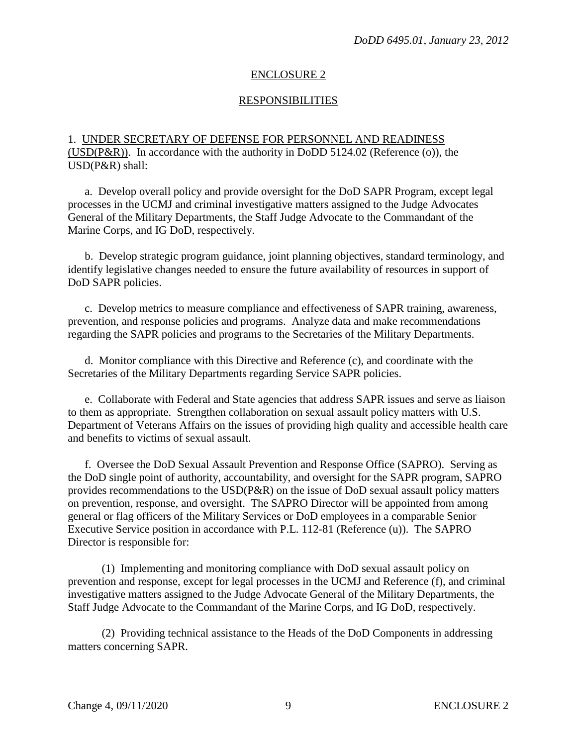#### ENCLOSURE 2

#### RESPONSIBILITIES

#### 1. UNDER SECRETARY OF DEFENSE FOR PERSONNEL AND READINESS (USD(P&R)). In accordance with the authority in DoDD 5124.02 (Reference (o)), the USD(P&R) shall:

a. Develop overall policy and provide oversight for the DoD SAPR Program, except legal processes in the UCMJ and criminal investigative matters assigned to the Judge Advocates General of the Military Departments, the Staff Judge Advocate to the Commandant of the Marine Corps, and IG DoD, respectively.

b. Develop strategic program guidance, joint planning objectives, standard terminology, and identify legislative changes needed to ensure the future availability of resources in support of DoD SAPR policies.

c. Develop metrics to measure compliance and effectiveness of SAPR training, awareness, prevention, and response policies and programs. Analyze data and make recommendations regarding the SAPR policies and programs to the Secretaries of the Military Departments.

d. Monitor compliance with this Directive and Reference (c), and coordinate with the Secretaries of the Military Departments regarding Service SAPR policies.

e. Collaborate with Federal and State agencies that address SAPR issues and serve as liaison to them as appropriate. Strengthen collaboration on sexual assault policy matters with U.S. Department of Veterans Affairs on the issues of providing high quality and accessible health care and benefits to victims of sexual assault.

f. Oversee the DoD Sexual Assault Prevention and Response Office (SAPRO). Serving as the DoD single point of authority, accountability, and oversight for the SAPR program, SAPRO provides recommendations to the USD(P&R) on the issue of DoD sexual assault policy matters on prevention, response, and oversight. The SAPRO Director will be appointed from among general or flag officers of the Military Services or DoD employees in a comparable Senior Executive Service position in accordance with P.L. 112-81 (Reference (u)). The SAPRO Director is responsible for:

(1) Implementing and monitoring compliance with DoD sexual assault policy on prevention and response, except for legal processes in the UCMJ and Reference (f), and criminal investigative matters assigned to the Judge Advocate General of the Military Departments, the Staff Judge Advocate to the Commandant of the Marine Corps, and IG DoD, respectively.

(2) Providing technical assistance to the Heads of the DoD Components in addressing matters concerning SAPR.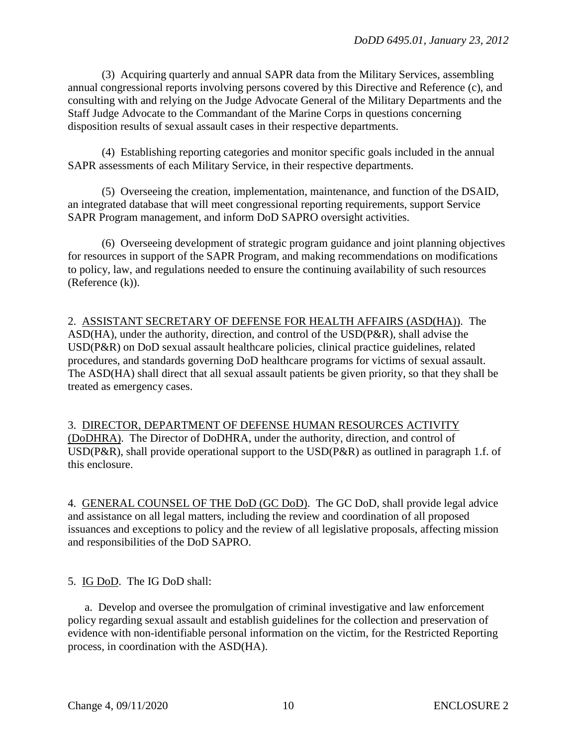(3) Acquiring quarterly and annual SAPR data from the Military Services, assembling annual congressional reports involving persons covered by this Directive and Reference (c), and consulting with and relying on the Judge Advocate General of the Military Departments and the Staff Judge Advocate to the Commandant of the Marine Corps in questions concerning disposition results of sexual assault cases in their respective departments.

(4) Establishing reporting categories and monitor specific goals included in the annual SAPR assessments of each Military Service, in their respective departments.

(5) Overseeing the creation, implementation, maintenance, and function of the DSAID, an integrated database that will meet congressional reporting requirements, support Service SAPR Program management, and inform DoD SAPRO oversight activities.

(6) Overseeing development of strategic program guidance and joint planning objectives for resources in support of the SAPR Program, and making recommendations on modifications to policy, law, and regulations needed to ensure the continuing availability of such resources (Reference (k)).

2. ASSISTANT SECRETARY OF DEFENSE FOR HEALTH AFFAIRS (ASD(HA)). The ASD(HA), under the authority, direction, and control of the USD(P&R), shall advise the USD(P&R) on DoD sexual assault healthcare policies, clinical practice guidelines, related procedures, and standards governing DoD healthcare programs for victims of sexual assault. The ASD(HA) shall direct that all sexual assault patients be given priority, so that they shall be treated as emergency cases.

3. DIRECTOR, DEPARTMENT OF DEFENSE HUMAN RESOURCES ACTIVITY (DoDHRA). The Director of DoDHRA, under the authority, direction, and control of USD(P&R), shall provide operational support to the USD(P&R) as outlined in paragraph 1.f. of this enclosure.

4. GENERAL COUNSEL OF THE DoD (GC DoD). The GC DoD, shall provide legal advice and assistance on all legal matters, including the review and coordination of all proposed issuances and exceptions to policy and the review of all legislative proposals, affecting mission and responsibilities of the DoD SAPRO.

5. IG DoD. The IG DoD shall:

a. Develop and oversee the promulgation of criminal investigative and law enforcement policy regarding sexual assault and establish guidelines for the collection and preservation of evidence with non-identifiable personal information on the victim, for the Restricted Reporting process, in coordination with the ASD(HA).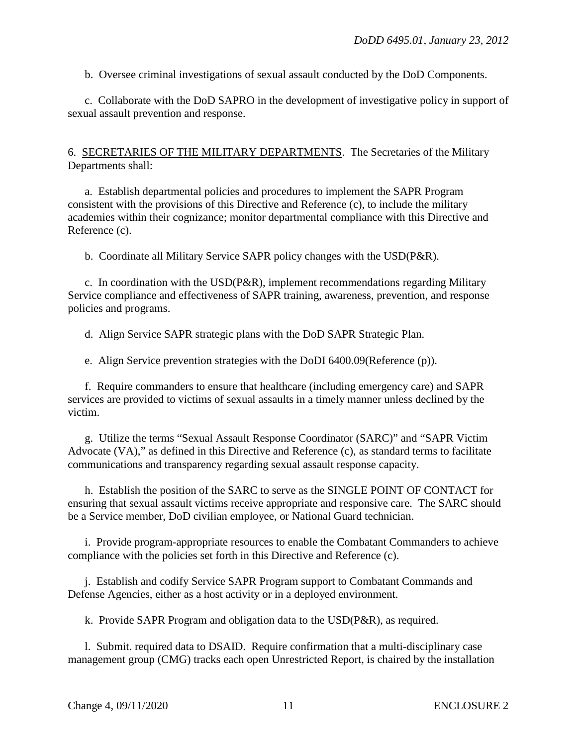b. Oversee criminal investigations of sexual assault conducted by the DoD Components.

c. Collaborate with the DoD SAPRO in the development of investigative policy in support of sexual assault prevention and response.

#### 6. SECRETARIES OF THE MILITARY DEPARTMENTS. The Secretaries of the Military Departments shall:

a. Establish departmental policies and procedures to implement the SAPR Program consistent with the provisions of this Directive and Reference (c), to include the military academies within their cognizance; monitor departmental compliance with this Directive and Reference (c).

b. Coordinate all Military Service SAPR policy changes with the USD(P&R).

c. In coordination with the  $USD(P\&R)$ , implement recommendations regarding Military Service compliance and effectiveness of SAPR training, awareness, prevention, and response policies and programs.

d. Align Service SAPR strategic plans with the DoD SAPR Strategic Plan.

e. Align Service prevention strategies with the DoDI 6400.09(Reference (p)).

f. Require commanders to ensure that healthcare (including emergency care) and SAPR services are provided to victims of sexual assaults in a timely manner unless declined by the victim.

g. Utilize the terms "Sexual Assault Response Coordinator (SARC)" and "SAPR Victim Advocate (VA)," as defined in this Directive and Reference (c), as standard terms to facilitate communications and transparency regarding sexual assault response capacity.

h. Establish the position of the SARC to serve as the SINGLE POINT OF CONTACT for ensuring that sexual assault victims receive appropriate and responsive care. The SARC should be a Service member, DoD civilian employee, or National Guard technician.

i. Provide program-appropriate resources to enable the Combatant Commanders to achieve compliance with the policies set forth in this Directive and Reference (c).

j. Establish and codify Service SAPR Program support to Combatant Commands and Defense Agencies, either as a host activity or in a deployed environment.

k. Provide SAPR Program and obligation data to the USD(P&R), as required.

l. Submit. required data to DSAID. Require confirmation that a multi-disciplinary case management group (CMG) tracks each open Unrestricted Report, is chaired by the installation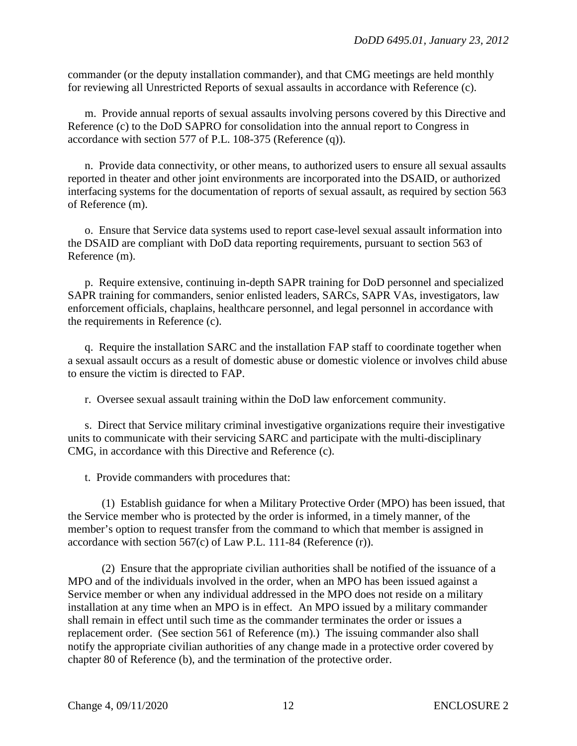commander (or the deputy installation commander), and that CMG meetings are held monthly for reviewing all Unrestricted Reports of sexual assaults in accordance with Reference (c).

m. Provide annual reports of sexual assaults involving persons covered by this Directive and Reference (c) to the DoD SAPRO for consolidation into the annual report to Congress in accordance with section 577 of P.L. 108-375 (Reference (q)).

n. Provide data connectivity, or other means, to authorized users to ensure all sexual assaults reported in theater and other joint environments are incorporated into the DSAID, or authorized interfacing systems for the documentation of reports of sexual assault, as required by section 563 of Reference (m).

o. Ensure that Service data systems used to report case-level sexual assault information into the DSAID are compliant with DoD data reporting requirements, pursuant to section 563 of Reference (m).

p. Require extensive, continuing in-depth SAPR training for DoD personnel and specialized SAPR training for commanders, senior enlisted leaders, SARCs, SAPR VAs, investigators, law enforcement officials, chaplains, healthcare personnel, and legal personnel in accordance with the requirements in Reference (c).

q. Require the installation SARC and the installation FAP staff to coordinate together when a sexual assault occurs as a result of domestic abuse or domestic violence or involves child abuse to ensure the victim is directed to FAP.

r. Oversee sexual assault training within the DoD law enforcement community.

s. Direct that Service military criminal investigative organizations require their investigative units to communicate with their servicing SARC and participate with the multi-disciplinary CMG, in accordance with this Directive and Reference (c).

t. Provide commanders with procedures that:

(1) Establish guidance for when a Military Protective Order (MPO) has been issued, that the Service member who is protected by the order is informed, in a timely manner, of the member's option to request transfer from the command to which that member is assigned in accordance with section 567(c) of Law P.L. 111-84 (Reference (r)).

(2) Ensure that the appropriate civilian authorities shall be notified of the issuance of a MPO and of the individuals involved in the order, when an MPO has been issued against a Service member or when any individual addressed in the MPO does not reside on a military installation at any time when an MPO is in effect. An MPO issued by a military commander shall remain in effect until such time as the commander terminates the order or issues a replacement order. (See section 561 of Reference (m).) The issuing commander also shall notify the appropriate civilian authorities of any change made in a protective order covered by chapter 80 of Reference (b), and the termination of the protective order.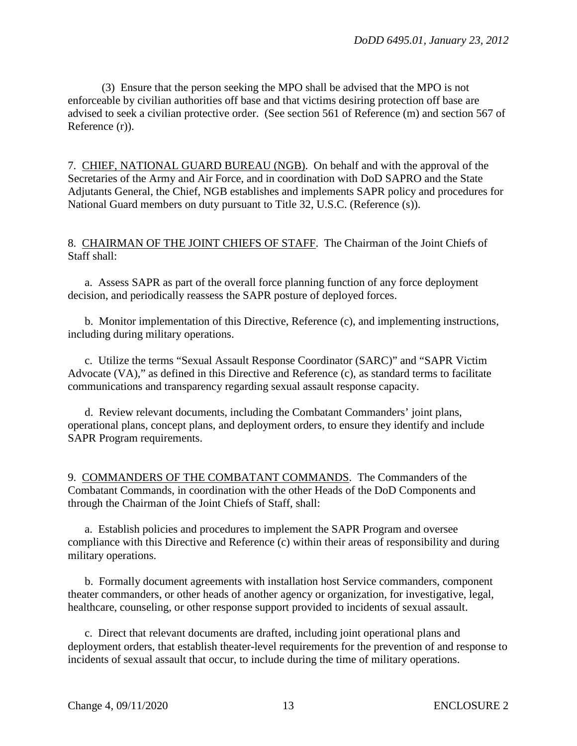(3) Ensure that the person seeking the MPO shall be advised that the MPO is not enforceable by civilian authorities off base and that victims desiring protection off base are advised to seek a civilian protective order. (See section 561 of Reference (m) and section 567 of Reference (r)).

7. CHIEF, NATIONAL GUARD BUREAU (NGB). On behalf and with the approval of the Secretaries of the Army and Air Force, and in coordination with DoD SAPRO and the State Adjutants General, the Chief, NGB establishes and implements SAPR policy and procedures for National Guard members on duty pursuant to Title 32, U.S.C. (Reference (s)).

8. CHAIRMAN OF THE JOINT CHIEFS OF STAFF. The Chairman of the Joint Chiefs of Staff shall:

a. Assess SAPR as part of the overall force planning function of any force deployment decision, and periodically reassess the SAPR posture of deployed forces.

b. Monitor implementation of this Directive, Reference (c), and implementing instructions, including during military operations.

c. Utilize the terms "Sexual Assault Response Coordinator (SARC)" and "SAPR Victim Advocate (VA)," as defined in this Directive and Reference (c), as standard terms to facilitate communications and transparency regarding sexual assault response capacity.

d. Review relevant documents, including the Combatant Commanders' joint plans, operational plans, concept plans, and deployment orders, to ensure they identify and include SAPR Program requirements.

9. COMMANDERS OF THE COMBATANT COMMANDS. The Commanders of the Combatant Commands, in coordination with the other Heads of the DoD Components and through the Chairman of the Joint Chiefs of Staff, shall:

a. Establish policies and procedures to implement the SAPR Program and oversee compliance with this Directive and Reference (c) within their areas of responsibility and during military operations.

b. Formally document agreements with installation host Service commanders, component theater commanders, or other heads of another agency or organization, for investigative, legal, healthcare, counseling, or other response support provided to incidents of sexual assault.

c. Direct that relevant documents are drafted, including joint operational plans and deployment orders, that establish theater-level requirements for the prevention of and response to incidents of sexual assault that occur, to include during the time of military operations.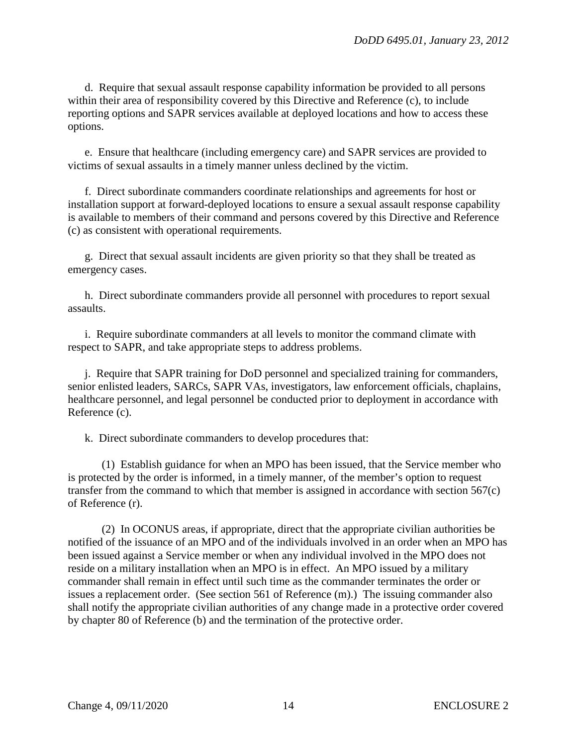d. Require that sexual assault response capability information be provided to all persons within their area of responsibility covered by this Directive and Reference (c), to include reporting options and SAPR services available at deployed locations and how to access these options.

e. Ensure that healthcare (including emergency care) and SAPR services are provided to victims of sexual assaults in a timely manner unless declined by the victim.

f. Direct subordinate commanders coordinate relationships and agreements for host or installation support at forward-deployed locations to ensure a sexual assault response capability is available to members of their command and persons covered by this Directive and Reference (c) as consistent with operational requirements.

g. Direct that sexual assault incidents are given priority so that they shall be treated as emergency cases.

h. Direct subordinate commanders provide all personnel with procedures to report sexual assaults.

i. Require subordinate commanders at all levels to monitor the command climate with respect to SAPR, and take appropriate steps to address problems.

j. Require that SAPR training for DoD personnel and specialized training for commanders, senior enlisted leaders, SARCs, SAPR VAs, investigators, law enforcement officials, chaplains, healthcare personnel, and legal personnel be conducted prior to deployment in accordance with Reference (c).

k. Direct subordinate commanders to develop procedures that:

(1) Establish guidance for when an MPO has been issued, that the Service member who is protected by the order is informed, in a timely manner, of the member's option to request transfer from the command to which that member is assigned in accordance with section 567(c) of Reference (r).

(2) In OCONUS areas, if appropriate, direct that the appropriate civilian authorities be notified of the issuance of an MPO and of the individuals involved in an order when an MPO has been issued against a Service member or when any individual involved in the MPO does not reside on a military installation when an MPO is in effect. An MPO issued by a military commander shall remain in effect until such time as the commander terminates the order or issues a replacement order. (See section 561 of Reference (m).) The issuing commander also shall notify the appropriate civilian authorities of any change made in a protective order covered by chapter 80 of Reference (b) and the termination of the protective order.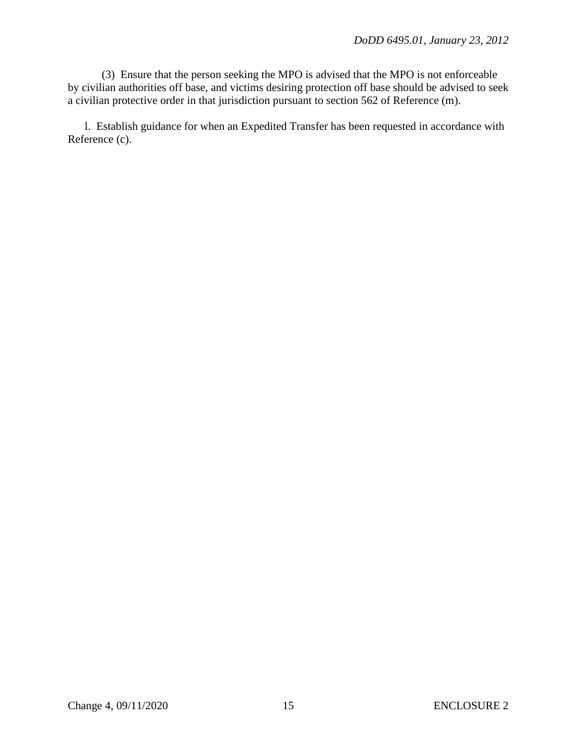(3) Ensure that the person seeking the MPO is advised that the MPO is not enforceable by civilian authorities off base, and victims desiring protection off base should be advised to seek a civilian protective order in that jurisdiction pursuant to section 562 of Reference (m).

l. Establish guidance for when an Expedited Transfer has been requested in accordance with Reference (c).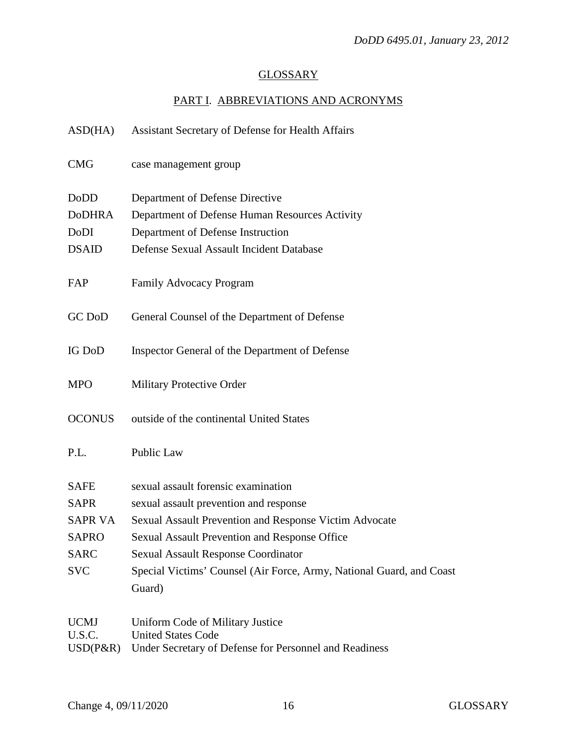## **GLOSSARY**

# PART I. ABBREVIATIONS AND ACRONYMS

| ASD(HA)               | Assistant Secretary of Defense for Health Affairs                              |
|-----------------------|--------------------------------------------------------------------------------|
| <b>CMG</b>            | case management group                                                          |
| DoDD                  | Department of Defense Directive                                                |
| <b>DoDHRA</b>         | Department of Defense Human Resources Activity                                 |
| DoDI                  | Department of Defense Instruction                                              |
| <b>DSAID</b>          | Defense Sexual Assault Incident Database                                       |
| FAP                   | <b>Family Advocacy Program</b>                                                 |
| GC DoD                | General Counsel of the Department of Defense                                   |
| IG DoD                | Inspector General of the Department of Defense                                 |
| <b>MPO</b>            | <b>Military Protective Order</b>                                               |
| <b>OCONUS</b>         | outside of the continental United States                                       |
| P.L.                  | Public Law                                                                     |
| <b>SAFE</b>           | sexual assault forensic examination                                            |
| <b>SAPR</b>           | sexual assault prevention and response                                         |
| <b>SAPR VA</b>        | Sexual Assault Prevention and Response Victim Advocate                         |
| <b>SAPRO</b>          | Sexual Assault Prevention and Response Office                                  |
| <b>SARC</b>           | <b>Sexual Assault Response Coordinator</b>                                     |
| <b>SVC</b>            | Special Victims' Counsel (Air Force, Army, National Guard, and Coast<br>Guard) |
| <b>UCMJ</b><br>U.S.C. | Uniform Code of Military Justice<br><b>United States Code</b>                  |
| $USD(P\&R)$           | Under Secretary of Defense for Personnel and Readiness                         |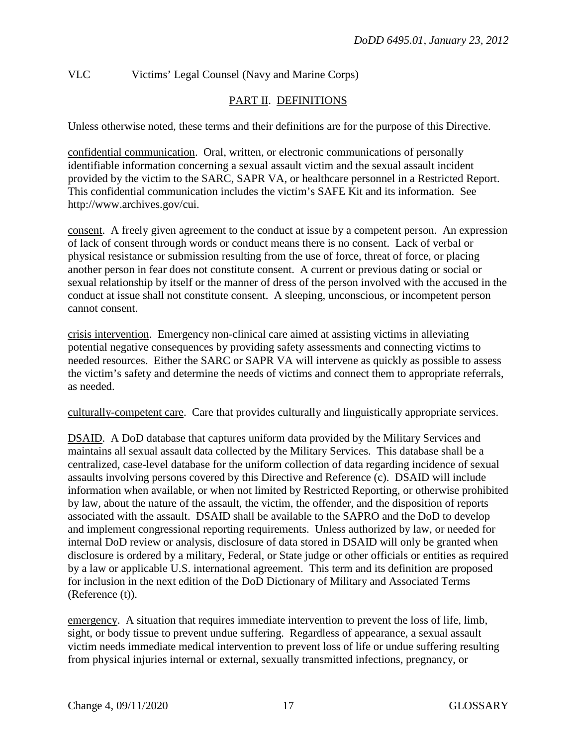# VLC Victims' Legal Counsel (Navy and Marine Corps)

# PART II. DEFINITIONS

Unless otherwise noted, these terms and their definitions are for the purpose of this Directive.

confidential communication. Oral, written, or electronic communications of personally identifiable information concerning a sexual assault victim and the sexual assault incident provided by the victim to the SARC, SAPR VA, or healthcare personnel in a Restricted Report. This confidential communication includes the victim's SAFE Kit and its information. See http://www.archives.gov/cui.

consent. A freely given agreement to the conduct at issue by a competent person. An expression of lack of consent through words or conduct means there is no consent. Lack of verbal or physical resistance or submission resulting from the use of force, threat of force, or placing another person in fear does not constitute consent. A current or previous dating or social or sexual relationship by itself or the manner of dress of the person involved with the accused in the conduct at issue shall not constitute consent. A sleeping, unconscious, or incompetent person cannot consent.

crisis intervention. Emergency non-clinical care aimed at assisting victims in alleviating potential negative consequences by providing safety assessments and connecting victims to needed resources. Either the SARC or SAPR VA will intervene as quickly as possible to assess the victim's safety and determine the needs of victims and connect them to appropriate referrals, as needed.

culturally-competent care. Care that provides culturally and linguistically appropriate services.

DSAID. A DoD database that captures uniform data provided by the Military Services and maintains all sexual assault data collected by the Military Services. This database shall be a centralized, case-level database for the uniform collection of data regarding incidence of sexual assaults involving persons covered by this Directive and Reference (c). DSAID will include information when available, or when not limited by Restricted Reporting, or otherwise prohibited by law, about the nature of the assault, the victim, the offender, and the disposition of reports associated with the assault. DSAID shall be available to the SAPRO and the DoD to develop and implement congressional reporting requirements. Unless authorized by law, or needed for internal DoD review or analysis, disclosure of data stored in DSAID will only be granted when disclosure is ordered by a military, Federal, or State judge or other officials or entities as required by a law or applicable U.S. international agreement. This term and its definition are proposed for inclusion in the next edition of the DoD Dictionary of Military and Associated Terms (Reference (t)).

emergency. A situation that requires immediate intervention to prevent the loss of life, limb, sight, or body tissue to prevent undue suffering. Regardless of appearance, a sexual assault victim needs immediate medical intervention to prevent loss of life or undue suffering resulting from physical injuries internal or external, sexually transmitted infections, pregnancy, or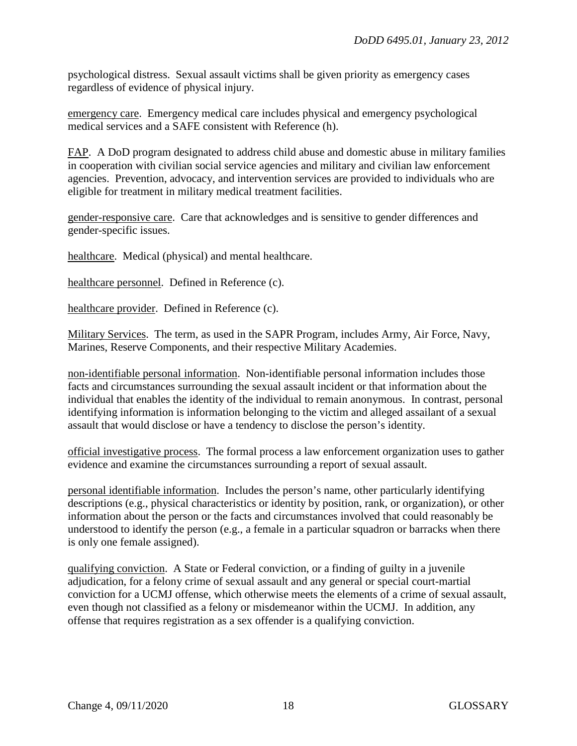psychological distress. Sexual assault victims shall be given priority as emergency cases regardless of evidence of physical injury.

emergency care. Emergency medical care includes physical and emergency psychological medical services and a SAFE consistent with Reference (h).

FAP. A DoD program designated to address child abuse and domestic abuse in military families in cooperation with civilian social service agencies and military and civilian law enforcement agencies. Prevention, advocacy, and intervention services are provided to individuals who are eligible for treatment in military medical treatment facilities.

gender-responsive care. Care that acknowledges and is sensitive to gender differences and gender-specific issues.

healthcare. Medical (physical) and mental healthcare.

healthcare personnel. Defined in Reference (c).

healthcare provider. Defined in Reference (c).

Military Services. The term, as used in the SAPR Program, includes Army, Air Force, Navy, Marines, Reserve Components, and their respective Military Academies.

non-identifiable personal information. Non-identifiable personal information includes those facts and circumstances surrounding the sexual assault incident or that information about the individual that enables the identity of the individual to remain anonymous. In contrast, personal identifying information is information belonging to the victim and alleged assailant of a sexual assault that would disclose or have a tendency to disclose the person's identity.

official investigative process. The formal process a law enforcement organization uses to gather evidence and examine the circumstances surrounding a report of sexual assault.

personal identifiable information. Includes the person's name, other particularly identifying descriptions (e.g., physical characteristics or identity by position, rank, or organization), or other information about the person or the facts and circumstances involved that could reasonably be understood to identify the person (e.g., a female in a particular squadron or barracks when there is only one female assigned).

qualifying conviction. A State or Federal conviction, or a finding of guilty in a juvenile adjudication, for a felony crime of sexual assault and any general or special court-martial conviction for a UCMJ offense, which otherwise meets the elements of a crime of sexual assault, even though not classified as a felony or misdemeanor within the UCMJ. In addition, any offense that requires registration as a sex offender is a qualifying conviction.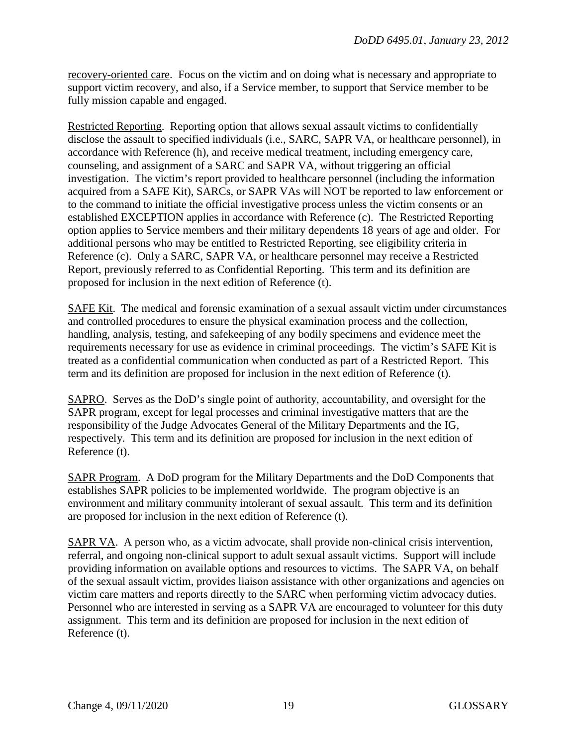recovery-oriented care. Focus on the victim and on doing what is necessary and appropriate to support victim recovery, and also, if a Service member, to support that Service member to be fully mission capable and engaged.

Restricted Reporting. Reporting option that allows sexual assault victims to confidentially disclose the assault to specified individuals (i.e., SARC, SAPR VA, or healthcare personnel), in accordance with Reference (h), and receive medical treatment, including emergency care, counseling, and assignment of a SARC and SAPR VA, without triggering an official investigation. The victim's report provided to healthcare personnel (including the information acquired from a SAFE Kit), SARCs, or SAPR VAs will NOT be reported to law enforcement or to the command to initiate the official investigative process unless the victim consents or an established EXCEPTION applies in accordance with Reference (c). The Restricted Reporting option applies to Service members and their military dependents 18 years of age and older. For additional persons who may be entitled to Restricted Reporting, see eligibility criteria in Reference (c). Only a SARC, SAPR VA, or healthcare personnel may receive a Restricted Report, previously referred to as Confidential Reporting. This term and its definition are proposed for inclusion in the next edition of Reference (t).

SAFE Kit. The medical and forensic examination of a sexual assault victim under circumstances and controlled procedures to ensure the physical examination process and the collection, handling, analysis, testing, and safekeeping of any bodily specimens and evidence meet the requirements necessary for use as evidence in criminal proceedings. The victim's SAFE Kit is treated as a confidential communication when conducted as part of a Restricted Report. This term and its definition are proposed for inclusion in the next edition of Reference (t).

SAPRO. Serves as the DoD's single point of authority, accountability, and oversight for the SAPR program, except for legal processes and criminal investigative matters that are the responsibility of the Judge Advocates General of the Military Departments and the IG, respectively. This term and its definition are proposed for inclusion in the next edition of Reference (t).

SAPR Program. A DoD program for the Military Departments and the DoD Components that establishes SAPR policies to be implemented worldwide. The program objective is an environment and military community intolerant of sexual assault. This term and its definition are proposed for inclusion in the next edition of Reference (t).

SAPR VA. A person who, as a victim advocate, shall provide non-clinical crisis intervention, referral, and ongoing non-clinical support to adult sexual assault victims. Support will include providing information on available options and resources to victims. The SAPR VA, on behalf of the sexual assault victim, provides liaison assistance with other organizations and agencies on victim care matters and reports directly to the SARC when performing victim advocacy duties. Personnel who are interested in serving as a SAPR VA are encouraged to volunteer for this duty assignment. This term and its definition are proposed for inclusion in the next edition of Reference (t).